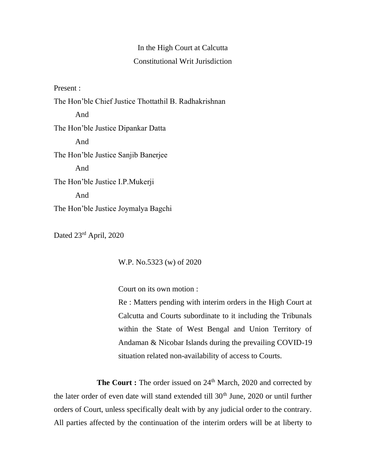## In the High Court at Calcutta Constitutional Writ Jurisdiction

Present :

The Hon'ble Chief Justice Thottathil B. Radhakrishnan And The Hon'ble Justice Dipankar Datta And The Hon'ble Justice Sanjib Banerjee And The Hon'ble Justice I.P.Mukerji And The Hon'ble Justice Joymalya Bagchi

Dated 23rd April, 2020

W.P. No.5323 (w) of 2020

Court on its own motion :

Re : Matters pending with interim orders in the High Court at Calcutta and Courts subordinate to it including the Tribunals within the State of West Bengal and Union Territory of Andaman & Nicobar Islands during the prevailing COVID-19 situation related non-availability of access to Courts.

The Court : The order issued on 24<sup>th</sup> March, 2020 and corrected by the later order of even date will stand extended till  $30<sup>th</sup>$  June,  $2020$  or until further orders of Court, unless specifically dealt with by any judicial order to the contrary. All parties affected by the continuation of the interim orders will be at liberty to